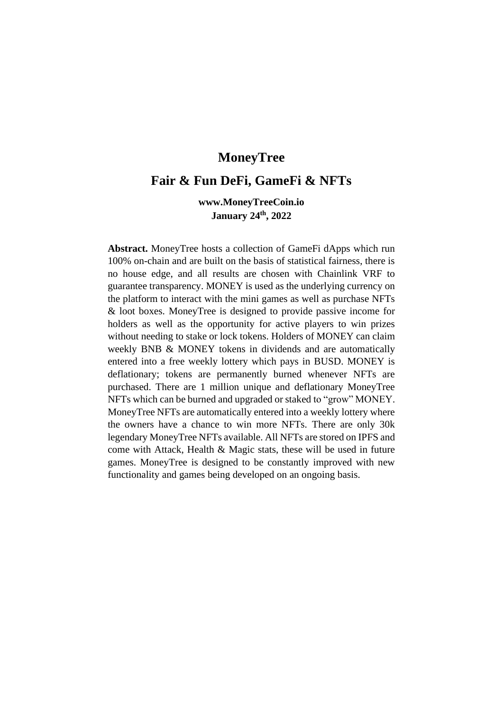# **MoneyTree**

## **Fair & Fun DeFi, GameFi & NFTs**

## **www.MoneyTreeCoin.io January 24th, 2022**

**Abstract.** MoneyTree hosts a collection of GameFi dApps which run 100% on-chain and are built on the basis of statistical fairness, there is no house edge, and all results are chosen with Chainlink VRF to guarantee transparency. MONEY is used as the underlying currency on the platform to interact with the mini games as well as purchase NFTs & loot boxes. MoneyTree is designed to provide passive income for holders as well as the opportunity for active players to win prizes without needing to stake or lock tokens. Holders of MONEY can claim weekly BNB & MONEY tokens in dividends and are automatically entered into a free weekly lottery which pays in BUSD. MONEY is deflationary; tokens are permanently burned whenever NFTs are purchased. There are 1 million unique and deflationary MoneyTree NFTs which can be burned and upgraded or staked to "grow" MONEY. MoneyTree NFTs are automatically entered into a weekly lottery where the owners have a chance to win more NFTs. There are only 30k legendary MoneyTree NFTs available. All NFTs are stored on IPFS and come with Attack, Health & Magic stats, these will be used in future games. MoneyTree is designed to be constantly improved with new functionality and games being developed on an ongoing basis.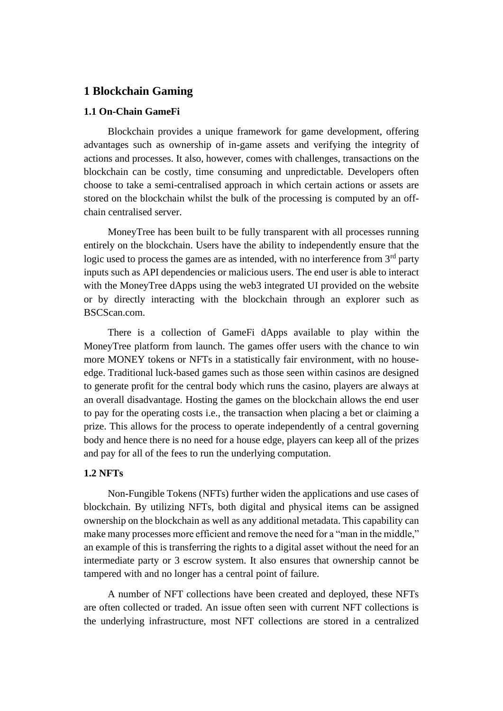## **1 Blockchain Gaming**

### **1.1 On-Chain GameFi**

Blockchain provides a unique framework for game development, offering advantages such as ownership of in-game assets and verifying the integrity of actions and processes. It also, however, comes with challenges, transactions on the blockchain can be costly, time consuming and unpredictable. Developers often choose to take a semi-centralised approach in which certain actions or assets are stored on the blockchain whilst the bulk of the processing is computed by an offchain centralised server.

MoneyTree has been built to be fully transparent with all processes running entirely on the blockchain. Users have the ability to independently ensure that the logic used to process the games are as intended, with no interference from  $3<sup>rd</sup>$  party inputs such as API dependencies or malicious users. The end user is able to interact with the MoneyTree dApps using the web3 integrated UI provided on the website or by directly interacting with the blockchain through an explorer such as BSCScan.com.

There is a collection of GameFi dApps available to play within the MoneyTree platform from launch. The games offer users with the chance to win more MONEY tokens or NFTs in a statistically fair environment, with no houseedge. Traditional luck-based games such as those seen within casinos are designed to generate profit for the central body which runs the casino, players are always at an overall disadvantage. Hosting the games on the blockchain allows the end user to pay for the operating costs i.e., the transaction when placing a bet or claiming a prize. This allows for the process to operate independently of a central governing body and hence there is no need for a house edge, players can keep all of the prizes and pay for all of the fees to run the underlying computation.

#### **1.2 NFTs**

Non-Fungible Tokens (NFTs) further widen the applications and use cases of blockchain. By utilizing NFTs, both digital and physical items can be assigned ownership on the blockchain as well as any additional metadata. This capability can make many processes more efficient and remove the need for a "man in the middle," an example of this is transferring the rights to a digital asset without the need for an intermediate party or 3 escrow system. It also ensures that ownership cannot be tampered with and no longer has a central point of failure.

A number of NFT collections have been created and deployed, these NFTs are often collected or traded. An issue often seen with current NFT collections is the underlying infrastructure, most NFT collections are stored in a centralized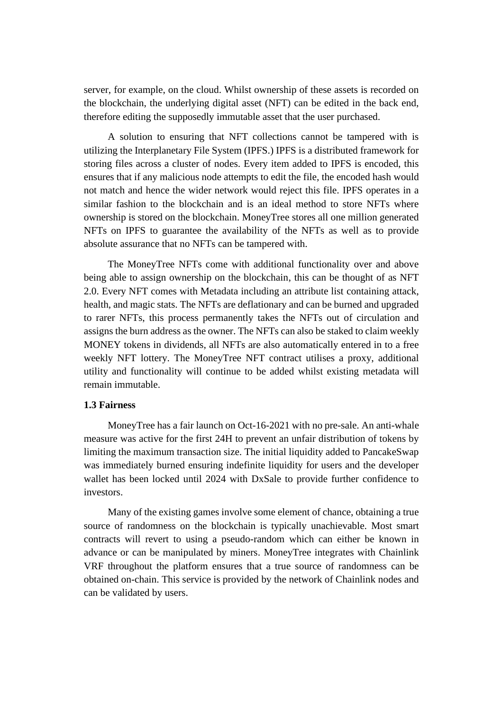server, for example, on the cloud. Whilst ownership of these assets is recorded on the blockchain, the underlying digital asset (NFT) can be edited in the back end, therefore editing the supposedly immutable asset that the user purchased.

A solution to ensuring that NFT collections cannot be tampered with is utilizing the Interplanetary File System (IPFS.) IPFS is a distributed framework for storing files across a cluster of nodes. Every item added to IPFS is encoded, this ensures that if any malicious node attempts to edit the file, the encoded hash would not match and hence the wider network would reject this file. IPFS operates in a similar fashion to the blockchain and is an ideal method to store NFTs where ownership is stored on the blockchain. MoneyTree stores all one million generated NFTs on IPFS to guarantee the availability of the NFTs as well as to provide absolute assurance that no NFTs can be tampered with.

The MoneyTree NFTs come with additional functionality over and above being able to assign ownership on the blockchain, this can be thought of as NFT 2.0. Every NFT comes with Metadata including an attribute list containing attack, health, and magic stats. The NFTs are deflationary and can be burned and upgraded to rarer NFTs, this process permanently takes the NFTs out of circulation and assigns the burn address as the owner. The NFTs can also be staked to claim weekly MONEY tokens in dividends, all NFTs are also automatically entered in to a free weekly NFT lottery. The MoneyTree NFT contract utilises a proxy, additional utility and functionality will continue to be added whilst existing metadata will remain immutable.

#### **1.3 Fairness**

MoneyTree has a fair launch on Oct-16-2021 with no pre-sale. An anti-whale measure was active for the first 24H to prevent an unfair distribution of tokens by limiting the maximum transaction size. The initial liquidity added to PancakeSwap was immediately burned ensuring indefinite liquidity for users and the developer wallet has been locked until 2024 with DxSale to provide further confidence to investors.

Many of the existing games involve some element of chance, obtaining a true source of randomness on the blockchain is typically unachievable. Most smart contracts will revert to using a pseudo-random which can either be known in advance or can be manipulated by miners. MoneyTree integrates with Chainlink VRF throughout the platform ensures that a true source of randomness can be obtained on-chain. This service is provided by the network of Chainlink nodes and can be validated by users.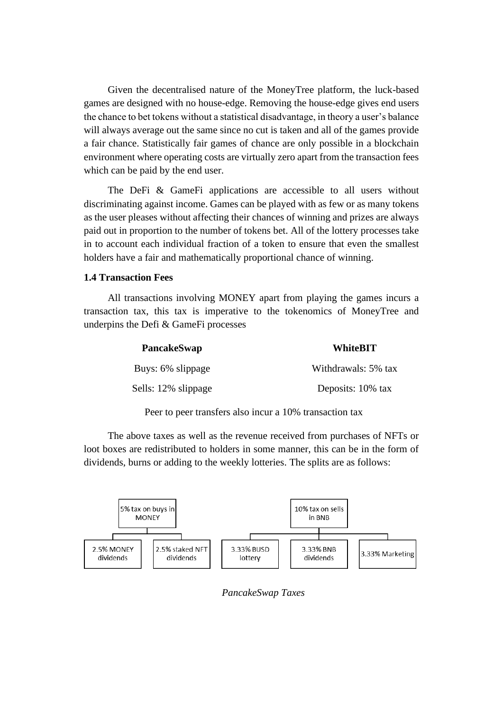Given the decentralised nature of the MoneyTree platform, the luck-based games are designed with no house-edge. Removing the house-edge gives end users the chance to bet tokens without a statistical disadvantage, in theory a user's balance will always average out the same since no cut is taken and all of the games provide a fair chance. Statistically fair games of chance are only possible in a blockchain environment where operating costs are virtually zero apart from the transaction fees which can be paid by the end user.

The DeFi & GameFi applications are accessible to all users without discriminating against income. Games can be played with as few or as many tokens as the user pleases without affecting their chances of winning and prizes are always paid out in proportion to the number of tokens bet. All of the lottery processes take in to account each individual fraction of a token to ensure that even the smallest holders have a fair and mathematically proportional chance of winning.

#### **1.4 Transaction Fees**

All transactions involving MONEY apart from playing the games incurs a transaction tax, this tax is imperative to the tokenomics of MoneyTree and underpins the Defi & GameFi processes

| <b>PancakeSwap</b>  | <b>WhiteBIT</b>     |
|---------------------|---------------------|
| Buys: 6% slippage   | Withdrawals: 5% tax |
| Sells: 12% slippage | Deposits: 10% tax   |

Peer to peer transfers also incur a 10% transaction tax

The above taxes as well as the revenue received from purchases of NFTs or loot boxes are redistributed to holders in some manner, this can be in the form of dividends, burns or adding to the weekly lotteries. The splits are as follows:



*PancakeSwap Taxes*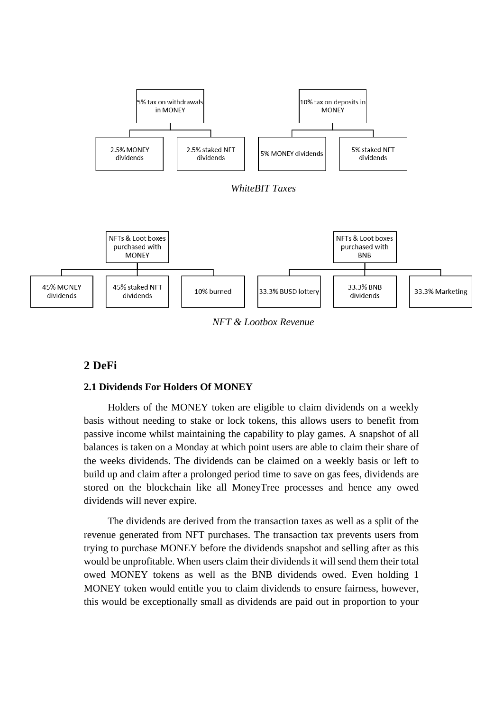

*NFT & Lootbox Revenue*

## **2 DeFi**

### **2.1 Dividends For Holders Of MONEY**

Holders of the MONEY token are eligible to claim dividends on a weekly basis without needing to stake or lock tokens, this allows users to benefit from passive income whilst maintaining the capability to play games. A snapshot of all balances is taken on a Monday at which point users are able to claim their share of the weeks dividends. The dividends can be claimed on a weekly basis or left to build up and claim after a prolonged period time to save on gas fees, dividends are stored on the blockchain like all MoneyTree processes and hence any owed dividends will never expire.

The dividends are derived from the transaction taxes as well as a split of the revenue generated from NFT purchases. The transaction tax prevents users from trying to purchase MONEY before the dividends snapshot and selling after as this would be unprofitable. When users claim their dividends it will send them their total owed MONEY tokens as well as the BNB dividends owed. Even holding 1 MONEY token would entitle you to claim dividends to ensure fairness, however, this would be exceptionally small as dividends are paid out in proportion to your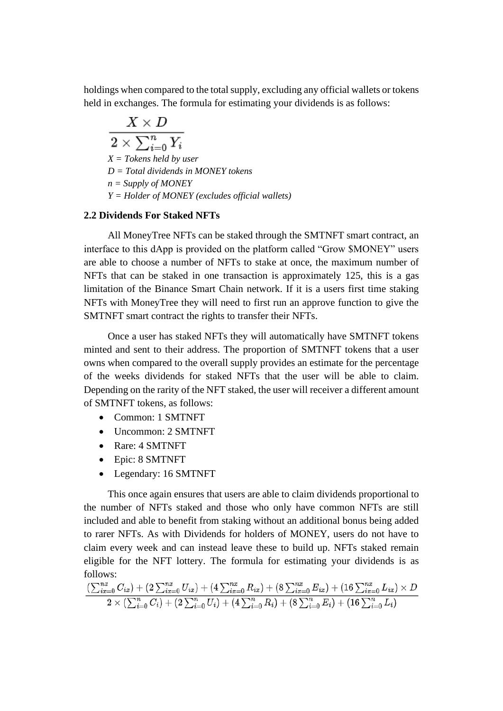holdings when compared to the total supply, excluding any official wallets or tokens held in exchanges. The formula for estimating your dividends is as follows:

$$
\frac{X\times D}{2\times \sum_{i=0}^n Y_i}
$$

*X = Tokens held by user*

*D = Total dividends in MONEY tokens*

*n = Supply of MONEY*

*Y = Holder of MONEY (excludes official wallets)*

## **2.2 Dividends For Staked NFTs**

All MoneyTree NFTs can be staked through the SMTNFT smart contract, an interface to this dApp is provided on the platform called "Grow \$MONEY" users are able to choose a number of NFTs to stake at once, the maximum number of NFTs that can be staked in one transaction is approximately 125, this is a gas limitation of the Binance Smart Chain network. If it is a users first time staking NFTs with MoneyTree they will need to first run an approve function to give the SMTNFT smart contract the rights to transfer their NFTs.

Once a user has staked NFTs they will automatically have SMTNFT tokens minted and sent to their address. The proportion of SMTNFT tokens that a user owns when compared to the overall supply provides an estimate for the percentage of the weeks dividends for staked NFTs that the user will be able to claim. Depending on the rarity of the NFT staked, the user will receiver a different amount of SMTNFT tokens, as follows:

- Common: 1 SMTNFT
- Uncommon: 2 SMTNFT
- Rare: 4 SMTNFT
- Epic: 8 SMTNFT
- Legendary: 16 SMTNFT

This once again ensures that users are able to claim dividends proportional to the number of NFTs staked and those who only have common NFTs are still included and able to benefit from staking without an additional bonus being added to rarer NFTs. As with Dividends for holders of MONEY, users do not have to claim every week and can instead leave these to build up. NFTs staked remain eligible for the NFT lottery. The formula for estimating your dividends is as follows:

$$
\frac{(\sum_{ix=0}^{nx} C_{ix}) + (2 \sum_{ix=0}^{nx} U_{ix}) + (4 \sum_{ix=0}^{nx} R_{ix}) + (8 \sum_{ix=0}^{nx} E_{ix}) + (16 \sum_{ix=0}^{nx} L_{ix}) \times D}{2 \times (\sum_{i=0}^{n} C_i) + (2 \sum_{i=0}^{n} U_i) + (4 \sum_{i=0}^{n} R_i) + (8 \sum_{i=0}^{n} E_i) + (16 \sum_{i=0}^{n} L_i)}
$$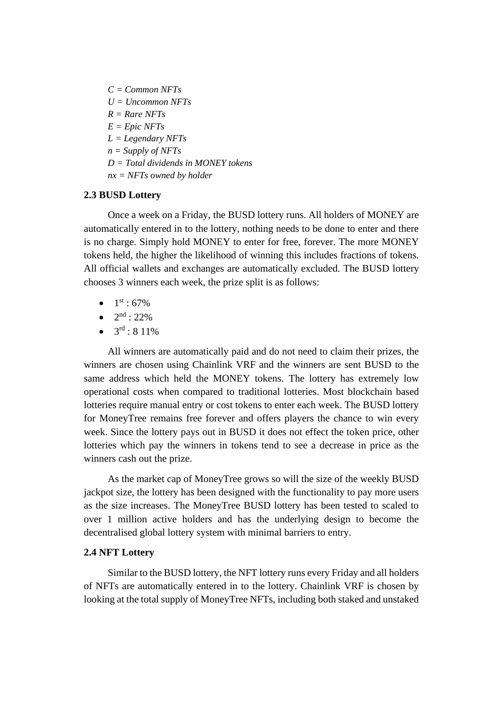*C = Common NFTs U = Uncommon NFTs*  $R = R$ *are NFTs*  $E = \text{Epic NFTs}$ *L = Legendary NFTs n = Supply of NFTs D = Total dividends in MONEY tokens nx = NFTs owned by holder*

### **2.3 BUSD Lottery**

Once a week on a Friday, the BUSD lottery runs. All holders of MONEY are automatically entered in to the lottery, nothing needs to be done to enter and there is no charge. Simply hold MONEY to enter for free, forever. The more MONEY tokens held, the higher the likelihood of winning this includes fractions of tokens. All official wallets and exchanges are automatically excluded. The BUSD lottery chooses 3 winners each week, the prize split is as follows:

- $1^{\text{st}}:67\%$
- $2<sup>nd</sup> : 22%$
- $\bullet$  3<sup>rd</sup> : 8 11%

All winners are automatically paid and do not need to claim their prizes, the winners are chosen using Chainlink VRF and the winners are sent BUSD to the same address which held the MONEY tokens. The lottery has extremely low operational costs when compared to traditional lotteries. Most blockchain based lotteries require manual entry or cost tokens to enter each week. The BUSD lottery for MoneyTree remains free forever and offers players the chance to win every week. Since the lottery pays out in BUSD it does not effect the token price, other lotteries which pay the winners in tokens tend to see a decrease in price as the winners cash out the prize.

As the market cap of MoneyTree grows so will the size of the weekly BUSD jackpot size, the lottery has been designed with the functionality to pay more users as the size increases. The MoneyTree BUSD lottery has been tested to scaled to over 1 million active holders and has the underlying design to become the decentralised global lottery system with minimal barriers to entry.

### **2.4 NFT Lottery**

Similar to the BUSD lottery, the NFT lottery runs every Friday and all holders of NFTs are automatically entered in to the lottery. Chainlink VRF is chosen by looking at the total supply of MoneyTree NFTs, including both staked and unstaked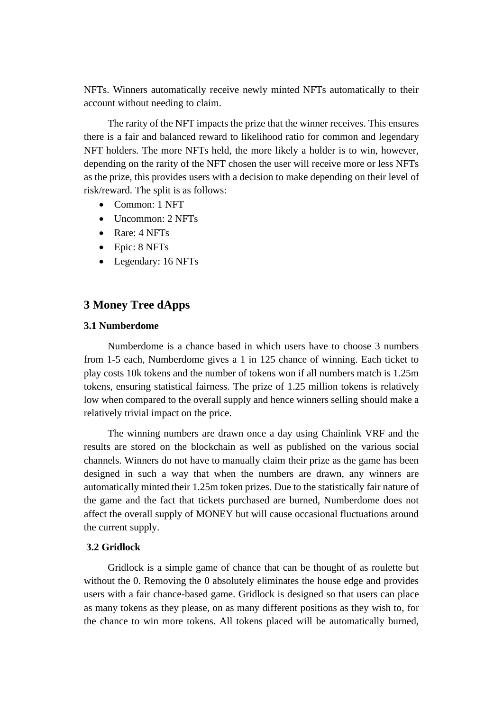NFTs. Winners automatically receive newly minted NFTs automatically to their account without needing to claim.

The rarity of the NFT impacts the prize that the winner receives. This ensures there is a fair and balanced reward to likelihood ratio for common and legendary NFT holders. The more NFTs held, the more likely a holder is to win, however, depending on the rarity of the NFT chosen the user will receive more or less NFTs as the prize, this provides users with a decision to make depending on their level of risk/reward. The split is as follows:

- Common: 1 NFT
- Uncommon: 2 NFTs
- Rare: 4 NFTs
- Epic: 8 NFTs
- Legendary: 16 NFTs

## **3 Money Tree dApps**

#### **3.1 Numberdome**

Numberdome is a chance based in which users have to choose 3 numbers from 1-5 each, Numberdome gives a 1 in 125 chance of winning. Each ticket to play costs 10k tokens and the number of tokens won if all numbers match is 1.25m tokens, ensuring statistical fairness. The prize of 1.25 million tokens is relatively low when compared to the overall supply and hence winners selling should make a relatively trivial impact on the price.

The winning numbers are drawn once a day using Chainlink VRF and the results are stored on the blockchain as well as published on the various social channels. Winners do not have to manually claim their prize as the game has been designed in such a way that when the numbers are drawn, any winners are automatically minted their 1.25m token prizes. Due to the statistically fair nature of the game and the fact that tickets purchased are burned, Numberdome does not affect the overall supply of MONEY but will cause occasional fluctuations around the current supply.

#### **3.2 Gridlock**

Gridlock is a simple game of chance that can be thought of as roulette but without the 0. Removing the 0 absolutely eliminates the house edge and provides users with a fair chance-based game. Gridlock is designed so that users can place as many tokens as they please, on as many different positions as they wish to, for the chance to win more tokens. All tokens placed will be automatically burned,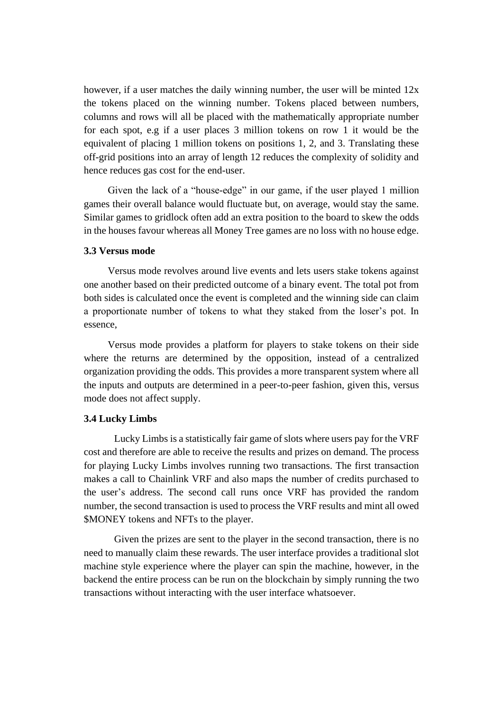however, if a user matches the daily winning number, the user will be minted  $12x$ the tokens placed on the winning number. Tokens placed between numbers, columns and rows will all be placed with the mathematically appropriate number for each spot, e.g if a user places 3 million tokens on row 1 it would be the equivalent of placing 1 million tokens on positions 1, 2, and 3. Translating these off-grid positions into an array of length 12 reduces the complexity of solidity and hence reduces gas cost for the end-user.

Given the lack of a "house-edge" in our game, if the user played 1 million games their overall balance would fluctuate but, on average, would stay the same. Similar games to gridlock often add an extra position to the board to skew the odds in the houses favour whereas all Money Tree games are no loss with no house edge.

#### **3.3 Versus mode**

Versus mode revolves around live events and lets users stake tokens against one another based on their predicted outcome of a binary event. The total pot from both sides is calculated once the event is completed and the winning side can claim a proportionate number of tokens to what they staked from the loser's pot. In essence,

Versus mode provides a platform for players to stake tokens on their side where the returns are determined by the opposition, instead of a centralized organization providing the odds. This provides a more transparent system where all the inputs and outputs are determined in a peer-to-peer fashion, given this, versus mode does not affect supply.

#### **3.4 Lucky Limbs**

Lucky Limbs is a statistically fair game of slots where users pay for the VRF cost and therefore are able to receive the results and prizes on demand. The process for playing Lucky Limbs involves running two transactions. The first transaction makes a call to Chainlink VRF and also maps the number of credits purchased to the user's address. The second call runs once VRF has provided the random number, the second transaction is used to process the VRF results and mint all owed \$MONEY tokens and NFTs to the player.

Given the prizes are sent to the player in the second transaction, there is no need to manually claim these rewards. The user interface provides a traditional slot machine style experience where the player can spin the machine, however, in the backend the entire process can be run on the blockchain by simply running the two transactions without interacting with the user interface whatsoever.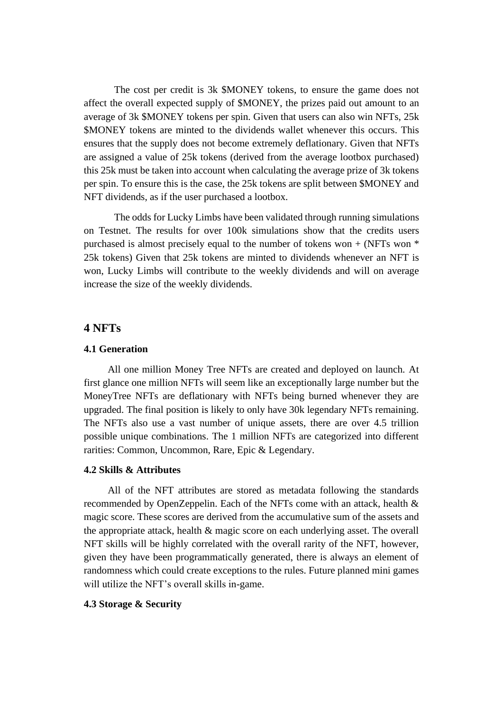The cost per credit is 3k \$MONEY tokens, to ensure the game does not affect the overall expected supply of \$MONEY, the prizes paid out amount to an average of 3k \$MONEY tokens per spin. Given that users can also win NFTs, 25k \$MONEY tokens are minted to the dividends wallet whenever this occurs. This ensures that the supply does not become extremely deflationary. Given that NFTs are assigned a value of 25k tokens (derived from the average lootbox purchased) this 25k must be taken into account when calculating the average prize of 3k tokens per spin. To ensure this is the case, the 25k tokens are split between \$MONEY and NFT dividends, as if the user purchased a lootbox.

The odds for Lucky Limbs have been validated through running simulations on Testnet. The results for over 100k simulations show that the credits users purchased is almost precisely equal to the number of tokens won  $+$  (NFTs won  $*$ 25k tokens) Given that 25k tokens are minted to dividends whenever an NFT is won, Lucky Limbs will contribute to the weekly dividends and will on average increase the size of the weekly dividends.

## **4 NFTs**

#### **4.1 Generation**

All one million Money Tree NFTs are created and deployed on launch. At first glance one million NFTs will seem like an exceptionally large number but the MoneyTree NFTs are deflationary with NFTs being burned whenever they are upgraded. The final position is likely to only have 30k legendary NFTs remaining. The NFTs also use a vast number of unique assets, there are over 4.5 trillion possible unique combinations. The 1 million NFTs are categorized into different rarities: Common, Uncommon, Rare, Epic & Legendary.

#### **4.2 Skills & Attributes**

All of the NFT attributes are stored as metadata following the standards recommended by OpenZeppelin. Each of the NFTs come with an attack, health & magic score. These scores are derived from the accumulative sum of the assets and the appropriate attack, health & magic score on each underlying asset. The overall NFT skills will be highly correlated with the overall rarity of the NFT, however, given they have been programmatically generated, there is always an element of randomness which could create exceptions to the rules. Future planned mini games will utilize the NFT's overall skills in-game.

#### **4.3 Storage & Security**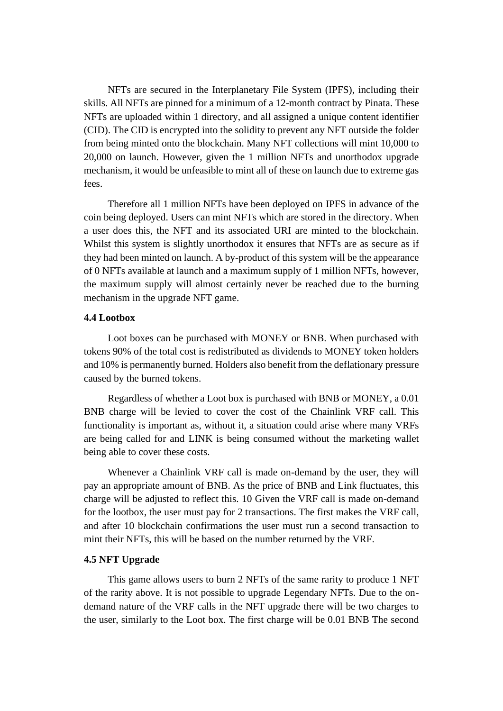NFTs are secured in the Interplanetary File System (IPFS), including their skills. All NFTs are pinned for a minimum of a 12-month contract by Pinata. These NFTs are uploaded within 1 directory, and all assigned a unique content identifier (CID). The CID is encrypted into the solidity to prevent any NFT outside the folder from being minted onto the blockchain. Many NFT collections will mint 10,000 to 20,000 on launch. However, given the 1 million NFTs and unorthodox upgrade mechanism, it would be unfeasible to mint all of these on launch due to extreme gas fees.

Therefore all 1 million NFTs have been deployed on IPFS in advance of the coin being deployed. Users can mint NFTs which are stored in the directory. When a user does this, the NFT and its associated URI are minted to the blockchain. Whilst this system is slightly unorthodox it ensures that NFTs are as secure as if they had been minted on launch. A by-product of this system will be the appearance of 0 NFTs available at launch and a maximum supply of 1 million NFTs, however, the maximum supply will almost certainly never be reached due to the burning mechanism in the upgrade NFT game.

#### **4.4 Lootbox**

Loot boxes can be purchased with MONEY or BNB. When purchased with tokens 90% of the total cost is redistributed as dividends to MONEY token holders and 10% is permanently burned. Holders also benefit from the deflationary pressure caused by the burned tokens.

Regardless of whether a Loot box is purchased with BNB or MONEY, a 0.01 BNB charge will be levied to cover the cost of the Chainlink VRF call. This functionality is important as, without it, a situation could arise where many VRFs are being called for and LINK is being consumed without the marketing wallet being able to cover these costs.

Whenever a Chainlink VRF call is made on-demand by the user, they will pay an appropriate amount of BNB. As the price of BNB and Link fluctuates, this charge will be adjusted to reflect this. 10 Given the VRF call is made on-demand for the lootbox, the user must pay for 2 transactions. The first makes the VRF call, and after 10 blockchain confirmations the user must run a second transaction to mint their NFTs, this will be based on the number returned by the VRF.

#### **4.5 NFT Upgrade**

This game allows users to burn 2 NFTs of the same rarity to produce 1 NFT of the rarity above. It is not possible to upgrade Legendary NFTs. Due to the ondemand nature of the VRF calls in the NFT upgrade there will be two charges to the user, similarly to the Loot box. The first charge will be 0.01 BNB The second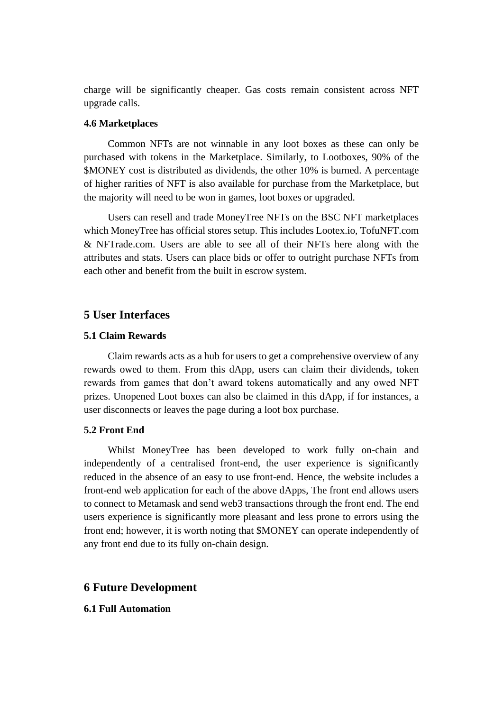charge will be significantly cheaper. Gas costs remain consistent across NFT upgrade calls.

#### **4.6 Marketplaces**

Common NFTs are not winnable in any loot boxes as these can only be purchased with tokens in the Marketplace. Similarly, to Lootboxes, 90% of the \$MONEY cost is distributed as dividends, the other 10% is burned. A percentage of higher rarities of NFT is also available for purchase from the Marketplace, but the majority will need to be won in games, loot boxes or upgraded.

Users can resell and trade MoneyTree NFTs on the BSC NFT marketplaces which MoneyTree has official stores setup. This includes Lootex.io, TofuNFT.com & NFTrade.com. Users are able to see all of their NFTs here along with the attributes and stats. Users can place bids or offer to outright purchase NFTs from each other and benefit from the built in escrow system.

## **5 User Interfaces**

#### **5.1 Claim Rewards**

Claim rewards acts as a hub for users to get a comprehensive overview of any rewards owed to them. From this dApp, users can claim their dividends, token rewards from games that don't award tokens automatically and any owed NFT prizes. Unopened Loot boxes can also be claimed in this dApp, if for instances, a user disconnects or leaves the page during a loot box purchase.

### **5.2 Front End**

Whilst MoneyTree has been developed to work fully on-chain and independently of a centralised front-end, the user experience is significantly reduced in the absence of an easy to use front-end. Hence, the website includes a front-end web application for each of the above dApps, The front end allows users to connect to Metamask and send web3 transactions through the front end. The end users experience is significantly more pleasant and less prone to errors using the front end; however, it is worth noting that \$MONEY can operate independently of any front end due to its fully on-chain design.

### **6 Future Development**

#### **6.1 Full Automation**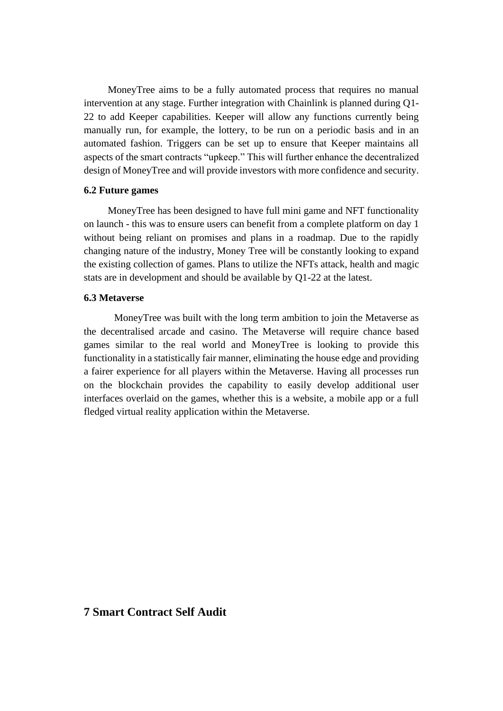MoneyTree aims to be a fully automated process that requires no manual intervention at any stage. Further integration with Chainlink is planned during Q1- 22 to add Keeper capabilities. Keeper will allow any functions currently being manually run, for example, the lottery, to be run on a periodic basis and in an automated fashion. Triggers can be set up to ensure that Keeper maintains all aspects of the smart contracts "upkeep." This will further enhance the decentralized design of MoneyTree and will provide investors with more confidence and security.

#### **6.2 Future games**

MoneyTree has been designed to have full mini game and NFT functionality on launch - this was to ensure users can benefit from a complete platform on day 1 without being reliant on promises and plans in a roadmap. Due to the rapidly changing nature of the industry, Money Tree will be constantly looking to expand the existing collection of games. Plans to utilize the NFTs attack, health and magic stats are in development and should be available by Q1-22 at the latest.

#### **6.3 Metaverse**

MoneyTree was built with the long term ambition to join the Metaverse as the decentralised arcade and casino. The Metaverse will require chance based games similar to the real world and MoneyTree is looking to provide this functionality in a statistically fair manner, eliminating the house edge and providing a fairer experience for all players within the Metaverse. Having all processes run on the blockchain provides the capability to easily develop additional user interfaces overlaid on the games, whether this is a website, a mobile app or a full fledged virtual reality application within the Metaverse.

## **7 Smart Contract Self Audit**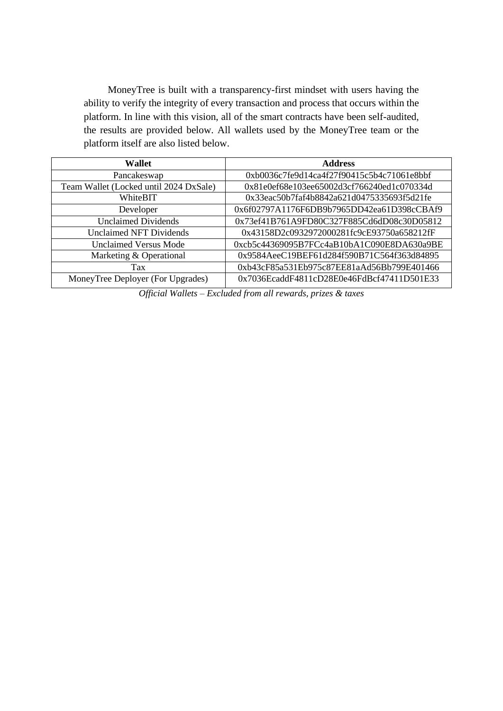MoneyTree is built with a transparency-first mindset with users having the ability to verify the integrity of every transaction and process that occurs within the platform. In line with this vision, all of the smart contracts have been self-audited, the results are provided below. All wallets used by the MoneyTree team or the platform itself are also listed below.

| <b>Wallet</b>                          | <b>Address</b>                             |
|----------------------------------------|--------------------------------------------|
| Pancakeswap                            | 0xb0036c7fe9d14ca4f27f90415c5b4c71061e8bbf |
| Team Wallet (Locked until 2024 DxSale) | 0x81e0ef68e103ee65002d3cf766240ed1c070334d |
| WhiteBIT                               | 0x33eac50b7faf4b8842a621d0475335693f5d21fe |
| Developer                              | 0x6f02797A1176F6DB9b7965DD42ea61D398cCBAf9 |
| <b>Unclaimed Dividends</b>             | 0x73ef41B761A9FD80C327F885Cd6dD08c30D05812 |
| <b>Unclaimed NFT Dividends</b>         | 0x43158D2c0932972000281fc9cE93750a658212fF |
| <b>Unclaimed Versus Mode</b>           | 0xcb5c44369095B7FCc4aB10bA1C090E8DA630a9BE |
| Marketing & Operational                | 0x9584AeeC19BEF61d284f590B71C564f363d84895 |
| Tax                                    | 0xb43cF85a531Eb975c87EE81aAd56Bb799E401466 |
| MoneyTree Deployer (For Upgrades)      | 0x7036EcaddF4811cD28E0e46FdBcf47411D501E33 |

*Official Wallets – Excluded from all rewards, prizes & taxes*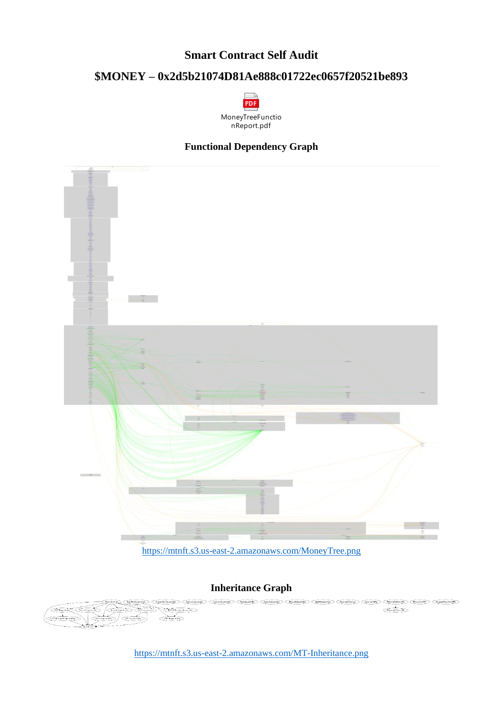# **Smart Contract Self Audit**

# **\$MONEY – 0x2d5b21074D81Ae888c01722ec0657f20521be893**



## **Functional Dependency Graph**



### **Inheritance Graph**



<https://mtnft.s3.us-east-2.amazonaws.com/MT-Inheritance.png>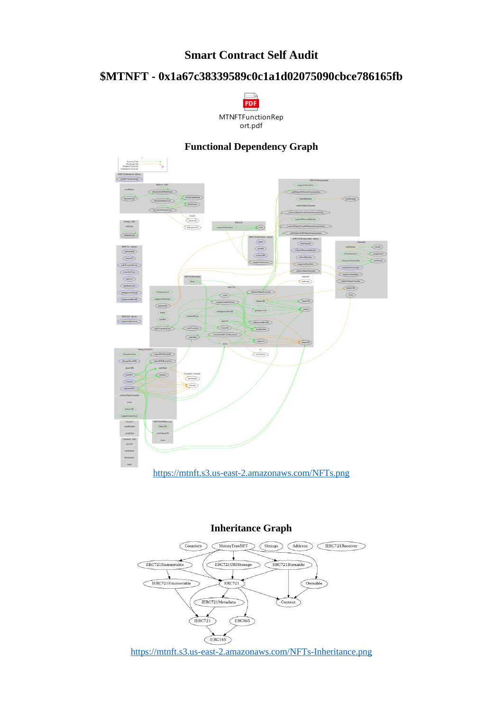# **Smart Contract Self Audit**

# **\$MTNFT - 0x1a67c38339589c0c1a1d02075090cbce786165fb**



# **Functional Dependency Graph**



## **Inheritance Graph**



<https://mtnft.s3.us-east-2.amazonaws.com/NFTs-Inheritance.png>